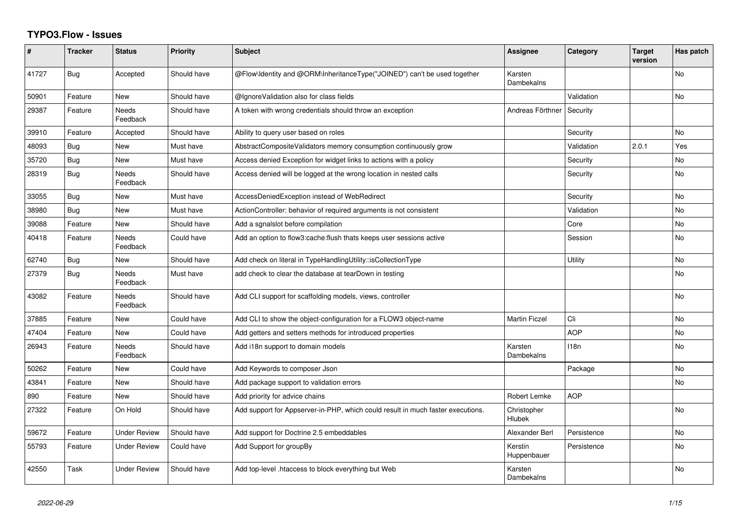## **TYPO3.Flow - Issues**

| #     | <b>Tracker</b> | <b>Status</b>            | <b>Priority</b> | <b>Subject</b>                                                                  | Assignee               | Category    | <b>Target</b><br>version | Has patch      |
|-------|----------------|--------------------------|-----------------|---------------------------------------------------------------------------------|------------------------|-------------|--------------------------|----------------|
| 41727 | Bug            | Accepted                 | Should have     | @Flow\ldentity and @ORM\InheritanceType("JOINED") can't be used together        | Karsten<br>Dambekalns  |             |                          | <b>No</b>      |
| 50901 | Feature        | <b>New</b>               | Should have     | @IgnoreValidation also for class fields                                         |                        | Validation  |                          | <b>No</b>      |
| 29387 | Feature        | Needs<br>Feedback        | Should have     | A token with wrong credentials should throw an exception                        | Andreas Förthner       | Security    |                          |                |
| 39910 | Feature        | Accepted                 | Should have     | Ability to query user based on roles                                            |                        | Security    |                          | <b>No</b>      |
| 48093 | Bug            | New                      | Must have       | AbstractCompositeValidators memory consumption continuously grow                |                        | Validation  | 2.0.1                    | Yes            |
| 35720 | Bug            | New                      | Must have       | Access denied Exception for widget links to actions with a policy               |                        | Security    |                          | No             |
| 28319 | Bug            | <b>Needs</b><br>Feedback | Should have     | Access denied will be logged at the wrong location in nested calls              |                        | Security    |                          | No             |
| 33055 | Bug            | <b>New</b>               | Must have       | AccessDeniedException instead of WebRedirect                                    |                        | Security    |                          | <b>No</b>      |
| 38980 | Bug            | New                      | Must have       | ActionController: behavior of required arguments is not consistent              |                        | Validation  |                          | <b>No</b>      |
| 39088 | Feature        | <b>New</b>               | Should have     | Add a sgnalslot before compilation                                              |                        | Core        |                          | No             |
| 40418 | Feature        | <b>Needs</b><br>Feedback | Could have      | Add an option to flow3:cache: flush thats keeps user sessions active            |                        | Session     |                          | <b>No</b>      |
| 62740 | <b>Bug</b>     | <b>New</b>               | Should have     | Add check on literal in TypeHandlingUtility::isCollectionType                   |                        | Utility     |                          | No             |
| 27379 | Bug            | Needs<br>Feedback        | Must have       | add check to clear the database at tearDown in testing                          |                        |             |                          | No             |
| 43082 | Feature        | <b>Needs</b><br>Feedback | Should have     | Add CLI support for scaffolding models, views, controller                       |                        |             |                          | <b>No</b>      |
| 37885 | Feature        | <b>New</b>               | Could have      | Add CLI to show the object-configuration for a FLOW3 object-name                | <b>Martin Ficzel</b>   | Cli         |                          | No             |
| 47404 | Feature        | <b>New</b>               | Could have      | Add getters and setters methods for introduced properties                       |                        | <b>AOP</b>  |                          | No             |
| 26943 | Feature        | Needs<br>Feedback        | Should have     | Add i18n support to domain models                                               | Karsten<br>Dambekalns  | 118n        |                          | N <sub>o</sub> |
| 50262 | Feature        | <b>New</b>               | Could have      | Add Keywords to composer Json                                                   |                        | Package     |                          | No             |
| 43841 | Feature        | <b>New</b>               | Should have     | Add package support to validation errors                                        |                        |             |                          | <b>No</b>      |
| 890   | Feature        | New                      | Should have     | Add priority for advice chains                                                  | Robert Lemke           | <b>AOP</b>  |                          |                |
| 27322 | Feature        | On Hold                  | Should have     | Add support for Appserver-in-PHP, which could result in much faster executions. | Christopher<br>Hlubek  |             |                          | <b>No</b>      |
| 59672 | Feature        | <b>Under Review</b>      | Should have     | Add support for Doctrine 2.5 embeddables                                        | Alexander Berl         | Persistence |                          | N <sub>o</sub> |
| 55793 | Feature        | <b>Under Review</b>      | Could have      | Add Support for groupBy                                                         | Kerstin<br>Huppenbauer | Persistence |                          | No             |
| 42550 | Task           | <b>Under Review</b>      | Should have     | Add top-level .htaccess to block everything but Web                             | Karsten<br>Dambekalns  |             |                          | N <sub>o</sub> |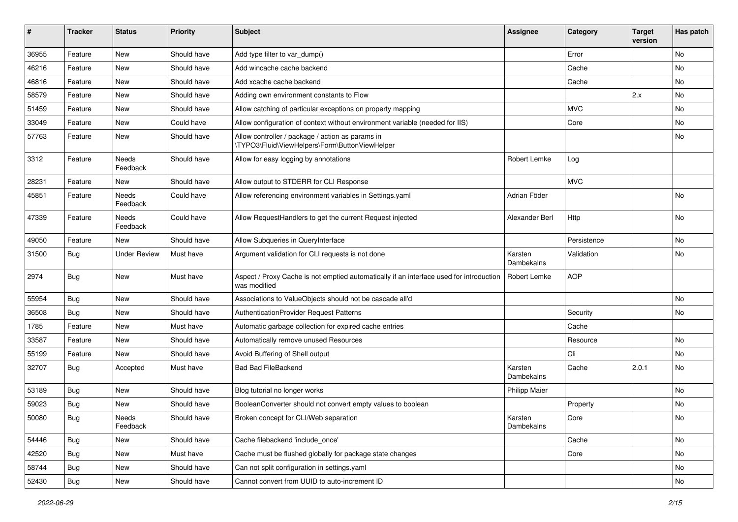| #     | <b>Tracker</b> | <b>Status</b>     | <b>Priority</b> | <b>Subject</b>                                                                                          | <b>Assignee</b>       | Category    | <b>Target</b><br>version | Has patch |
|-------|----------------|-------------------|-----------------|---------------------------------------------------------------------------------------------------------|-----------------------|-------------|--------------------------|-----------|
| 36955 | Feature        | <b>New</b>        | Should have     | Add type filter to var_dump()                                                                           |                       | Error       |                          | No        |
| 46216 | Feature        | New               | Should have     | Add wincache cache backend                                                                              |                       | Cache       |                          | No        |
| 46816 | Feature        | New               | Should have     | Add xcache cache backend                                                                                |                       | Cache       |                          | No        |
| 58579 | Feature        | New               | Should have     | Adding own environment constants to Flow                                                                |                       |             | 2.x                      | No        |
| 51459 | Feature        | New               | Should have     | Allow catching of particular exceptions on property mapping                                             |                       | <b>MVC</b>  |                          | No        |
| 33049 | Feature        | <b>New</b>        | Could have      | Allow configuration of context without environment variable (needed for IIS)                            |                       | Core        |                          | No        |
| 57763 | Feature        | New               | Should have     | Allow controller / package / action as params in<br>\TYPO3\Fluid\ViewHelpers\Form\ButtonViewHelper      |                       |             |                          | No        |
| 3312  | Feature        | Needs<br>Feedback | Should have     | Allow for easy logging by annotations                                                                   | Robert Lemke          | Log         |                          |           |
| 28231 | Feature        | New               | Should have     | Allow output to STDERR for CLI Response                                                                 |                       | <b>MVC</b>  |                          |           |
| 45851 | Feature        | Needs<br>Feedback | Could have      | Allow referencing environment variables in Settings.yaml                                                | Adrian Föder          |             |                          | No        |
| 47339 | Feature        | Needs<br>Feedback | Could have      | Allow RequestHandlers to get the current Request injected                                               | Alexander Berl        | Http        |                          | No        |
| 49050 | Feature        | New               | Should have     | Allow Subqueries in QueryInterface                                                                      |                       | Persistence |                          | No        |
| 31500 | Bug            | Under Review      | Must have       | Argument validation for CLI requests is not done                                                        | Karsten<br>Dambekalns | Validation  |                          | No        |
| 2974  | Bug            | New               | Must have       | Aspect / Proxy Cache is not emptied automatically if an interface used for introduction<br>was modified | <b>Robert Lemke</b>   | <b>AOP</b>  |                          |           |
| 55954 | Bug            | <b>New</b>        | Should have     | Associations to ValueObjects should not be cascade all'd                                                |                       |             |                          | No        |
| 36508 | Bug            | New               | Should have     | AuthenticationProvider Request Patterns                                                                 |                       | Security    |                          | No        |
| 1785  | Feature        | New               | Must have       | Automatic garbage collection for expired cache entries                                                  |                       | Cache       |                          |           |
| 33587 | Feature        | New               | Should have     | Automatically remove unused Resources                                                                   |                       | Resource    |                          | No        |
| 55199 | Feature        | New               | Should have     | Avoid Buffering of Shell output                                                                         |                       | Cli         |                          | No.       |
| 32707 | Bug            | Accepted          | Must have       | <b>Bad Bad FileBackend</b>                                                                              | Karsten<br>Dambekalns | Cache       | 2.0.1                    | No        |
| 53189 | Bug            | <b>New</b>        | Should have     | Blog tutorial no longer works                                                                           | <b>Philipp Maier</b>  |             |                          | No        |
| 59023 | Bug            | New               | Should have     | BooleanConverter should not convert empty values to boolean                                             |                       | Property    |                          | No        |
| 50080 | Bug            | Needs<br>Feedback | Should have     | Broken concept for CLI/Web separation                                                                   | Karsten<br>Dambekalns | Core        |                          | INO.      |
| 54446 | Bug            | New               | Should have     | Cache filebackend 'include_once'                                                                        |                       | Cache       |                          | No        |
| 42520 | Bug            | <b>New</b>        | Must have       | Cache must be flushed globally for package state changes                                                |                       | Core        |                          | No        |
| 58744 | Bug            | New               | Should have     | Can not split configuration in settings.yaml                                                            |                       |             |                          | No        |
| 52430 | Bug            | New               | Should have     | Cannot convert from UUID to auto-increment ID                                                           |                       |             |                          | No        |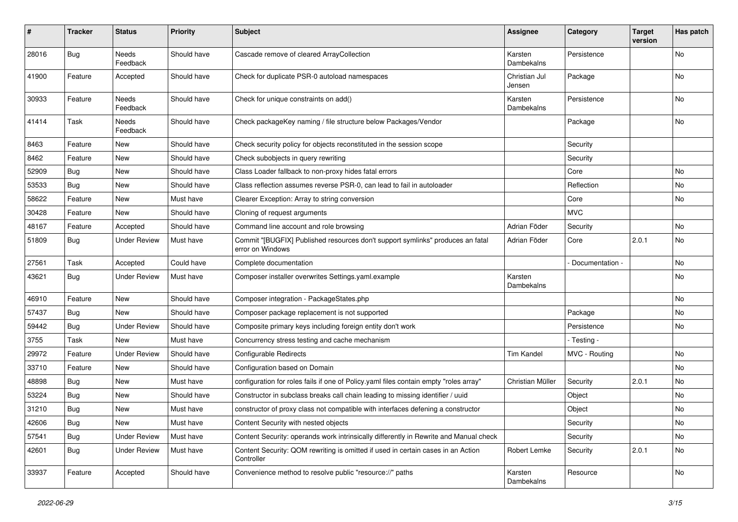| $\vert$ # | <b>Tracker</b> | <b>Status</b>       | <b>Priority</b> | <b>Subject</b>                                                                                     | <b>Assignee</b>         | Category        | <b>Target</b><br>version | Has patch |
|-----------|----------------|---------------------|-----------------|----------------------------------------------------------------------------------------------------|-------------------------|-----------------|--------------------------|-----------|
| 28016     | Bug            | Needs<br>Feedback   | Should have     | Cascade remove of cleared ArrayCollection                                                          | Karsten<br>Dambekalns   | Persistence     |                          | <b>No</b> |
| 41900     | Feature        | Accepted            | Should have     | Check for duplicate PSR-0 autoload namespaces                                                      | Christian Jul<br>Jensen | Package         |                          | No        |
| 30933     | Feature        | Needs<br>Feedback   | Should have     | Check for unique constraints on add()                                                              | Karsten<br>Dambekalns   | Persistence     |                          | No        |
| 41414     | Task           | Needs<br>Feedback   | Should have     | Check packageKey naming / file structure below Packages/Vendor                                     |                         | Package         |                          | No        |
| 8463      | Feature        | New                 | Should have     | Check security policy for objects reconstituted in the session scope                               |                         | Security        |                          |           |
| 8462      | Feature        | New                 | Should have     | Check subobjects in query rewriting                                                                |                         | Security        |                          |           |
| 52909     | <b>Bug</b>     | New                 | Should have     | Class Loader fallback to non-proxy hides fatal errors                                              |                         | Core            |                          | No        |
| 53533     | Bug            | New                 | Should have     | Class reflection assumes reverse PSR-0, can lead to fail in autoloader                             |                         | Reflection      |                          | No        |
| 58622     | Feature        | New                 | Must have       | Clearer Exception: Array to string conversion                                                      |                         | Core            |                          | No        |
| 30428     | Feature        | New                 | Should have     | Cloning of request arguments                                                                       |                         | <b>MVC</b>      |                          |           |
| 48167     | Feature        | Accepted            | Should have     | Command line account and role browsing                                                             | Adrian Föder            | Security        |                          | No        |
| 51809     | <b>Bug</b>     | <b>Under Review</b> | Must have       | Commit "[BUGFIX] Published resources don't support symlinks" produces an fatal<br>error on Windows | Adrian Föder            | Core            | 2.0.1                    | No        |
| 27561     | Task           | Accepted            | Could have      | Complete documentation                                                                             |                         | Documentation - |                          | No        |
| 43621     | <b>Bug</b>     | <b>Under Review</b> | Must have       | Composer installer overwrites Settings.yaml.example                                                | Karsten<br>Dambekalns   |                 |                          | No        |
| 46910     | Feature        | New                 | Should have     | Composer integration - PackageStates.php                                                           |                         |                 |                          | No        |
| 57437     | Bug            | <b>New</b>          | Should have     | Composer package replacement is not supported                                                      |                         | Package         |                          | <b>No</b> |
| 59442     | <b>Bug</b>     | <b>Under Review</b> | Should have     | Composite primary keys including foreign entity don't work                                         |                         | Persistence     |                          | No        |
| 3755      | Task           | New                 | Must have       | Concurrency stress testing and cache mechanism                                                     |                         | - Testing -     |                          |           |
| 29972     | Feature        | <b>Under Review</b> | Should have     | <b>Configurable Redirects</b>                                                                      | <b>Tim Kandel</b>       | MVC - Routing   |                          | No        |
| 33710     | Feature        | <b>New</b>          | Should have     | Configuration based on Domain                                                                      |                         |                 |                          | <b>No</b> |
| 48898     | <b>Bug</b>     | New                 | Must have       | configuration for roles fails if one of Policy yaml files contain empty "roles array"              | Christian Müller        | Security        | 2.0.1                    | No        |
| 53224     | Bug            | New                 | Should have     | Constructor in subclass breaks call chain leading to missing identifier / uuid                     |                         | Object          |                          | No        |
| 31210     | Bug            | New                 | Must have       | constructor of proxy class not compatible with interfaces defening a constructor                   |                         | Object          |                          | No        |
| 42606     | <b>Bug</b>     | New                 | Must have       | Content Security with nested objects                                                               |                         | Security        |                          | No        |
| 57541     | Bug            | <b>Under Review</b> | Must have       | Content Security: operands work intrinsically differently in Rewrite and Manual check              |                         | Security        |                          | No        |
| 42601     | <b>Bug</b>     | <b>Under Review</b> | Must have       | Content Security: QOM rewriting is omitted if used in certain cases in an Action<br>Controller     | Robert Lemke            | Security        | 2.0.1                    | No        |
| 33937     | Feature        | Accepted            | Should have     | Convenience method to resolve public "resource://" paths                                           | Karsten<br>Dambekalns   | Resource        |                          | No        |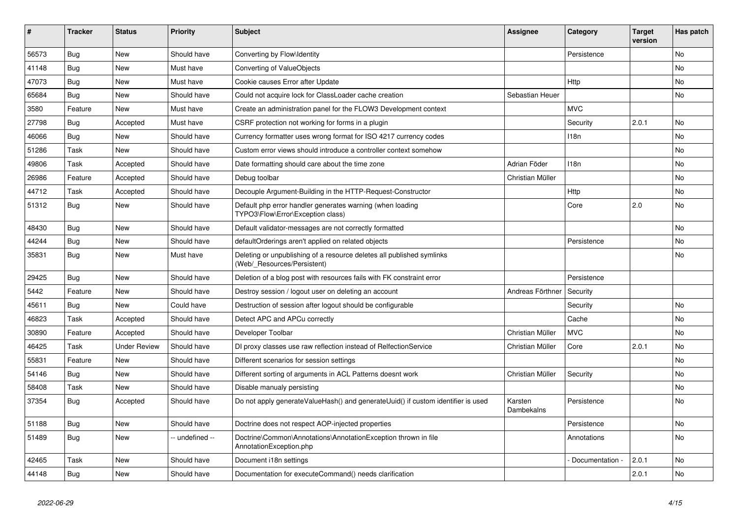| ∦     | <b>Tracker</b> | <b>Status</b>       | <b>Priority</b> | <b>Subject</b>                                                                                       | Assignee              | Category         | <b>Target</b><br>version | Has patch |
|-------|----------------|---------------------|-----------------|------------------------------------------------------------------------------------------------------|-----------------------|------------------|--------------------------|-----------|
| 56573 | Bug            | <b>New</b>          | Should have     | Converting by Flow\Identity                                                                          |                       | Persistence      |                          | <b>No</b> |
| 41148 | Bug            | <b>New</b>          | Must have       | Converting of ValueObjects                                                                           |                       |                  |                          | <b>No</b> |
| 47073 | Bug            | <b>New</b>          | Must have       | Cookie causes Error after Update                                                                     |                       | Http             |                          | <b>No</b> |
| 65684 | Bug            | <b>New</b>          | Should have     | Could not acquire lock for ClassLoader cache creation                                                | Sebastian Heuer       |                  |                          | <b>No</b> |
| 3580  | Feature        | <b>New</b>          | Must have       | Create an administration panel for the FLOW3 Development context                                     |                       | <b>MVC</b>       |                          |           |
| 27798 | Bug            | Accepted            | Must have       | CSRF protection not working for forms in a plugin                                                    |                       | Security         | 2.0.1                    | <b>No</b> |
| 46066 | Bug            | <b>New</b>          | Should have     | Currency formatter uses wrong format for ISO 4217 currency codes                                     |                       | 118n             |                          | <b>No</b> |
| 51286 | Task           | <b>New</b>          | Should have     | Custom error views should introduce a controller context somehow                                     |                       |                  |                          | <b>No</b> |
| 49806 | Task           | Accepted            | Should have     | Date formatting should care about the time zone                                                      | Adrian Föder          | 118 <sub>n</sub> |                          | <b>No</b> |
| 26986 | Feature        | Accepted            | Should have     | Debug toolbar                                                                                        | Christian Müller      |                  |                          | <b>No</b> |
| 44712 | Task           | Accepted            | Should have     | Decouple Argument-Building in the HTTP-Request-Constructor                                           |                       | Http             |                          | <b>No</b> |
| 51312 | Bug            | <b>New</b>          | Should have     | Default php error handler generates warning (when loading<br>TYPO3\Flow\Error\Exception class)       |                       | Core             | 2.0                      | <b>No</b> |
| 48430 | <b>Bug</b>     | <b>New</b>          | Should have     | Default validator-messages are not correctly formatted                                               |                       |                  |                          | <b>No</b> |
| 44244 | Bug            | <b>New</b>          | Should have     | defaultOrderings aren't applied on related objects                                                   |                       | Persistence      |                          | <b>No</b> |
| 35831 | Bug            | <b>New</b>          | Must have       | Deleting or unpublishing of a resource deletes all published symlinks<br>(Web/ Resources/Persistent) |                       |                  |                          | <b>No</b> |
| 29425 | Bug            | <b>New</b>          | Should have     | Deletion of a blog post with resources fails with FK constraint error                                |                       | Persistence      |                          |           |
| 5442  | Feature        | <b>New</b>          | Should have     | Destroy session / logout user on deleting an account                                                 | Andreas Förthner      | Security         |                          |           |
| 45611 | Bug            | <b>New</b>          | Could have      | Destruction of session after logout should be configurable                                           |                       | Security         |                          | <b>No</b> |
| 46823 | Task           | Accepted            | Should have     | Detect APC and APCu correctly                                                                        |                       | Cache            |                          | No        |
| 30890 | Feature        | Accepted            | Should have     | Developer Toolbar                                                                                    | Christian Müller      | <b>MVC</b>       |                          | <b>No</b> |
| 46425 | Task           | <b>Under Review</b> | Should have     | DI proxy classes use raw reflection instead of RelfectionService                                     | Christian Müller      | Core             | 2.0.1                    | No        |
| 55831 | Feature        | <b>New</b>          | Should have     | Different scenarios for session settings                                                             |                       |                  |                          | <b>No</b> |
| 54146 | <b>Bug</b>     | <b>New</b>          | Should have     | Different sorting of arguments in ACL Patterns doesnt work                                           | Christian Müller      | Security         |                          | No        |
| 58408 | Task           | <b>New</b>          | Should have     | Disable manualy persisting                                                                           |                       |                  |                          | <b>No</b> |
| 37354 | <b>Bug</b>     | Accepted            | Should have     | Do not apply generateValueHash() and generateUuid() if custom identifier is used                     | Karsten<br>Dambekalns | Persistence      |                          | No        |
| 51188 | Bug            | <b>New</b>          | Should have     | Doctrine does not respect AOP-injected properties                                                    |                       | Persistence      |                          | No        |
| 51489 | Bug            | <b>New</b>          | -- undefined -- | Doctrine\Common\Annotations\AnnotationException thrown in file<br>AnnotationException.php            |                       | Annotations      |                          | No        |
| 42465 | Task           | <b>New</b>          | Should have     | Document i18n settings                                                                               |                       | Documentation    | 2.0.1                    | <b>No</b> |
| 44148 | <b>Bug</b>     | <b>New</b>          | Should have     | Documentation for executeCommand() needs clarification                                               |                       |                  | 2.0.1                    | No        |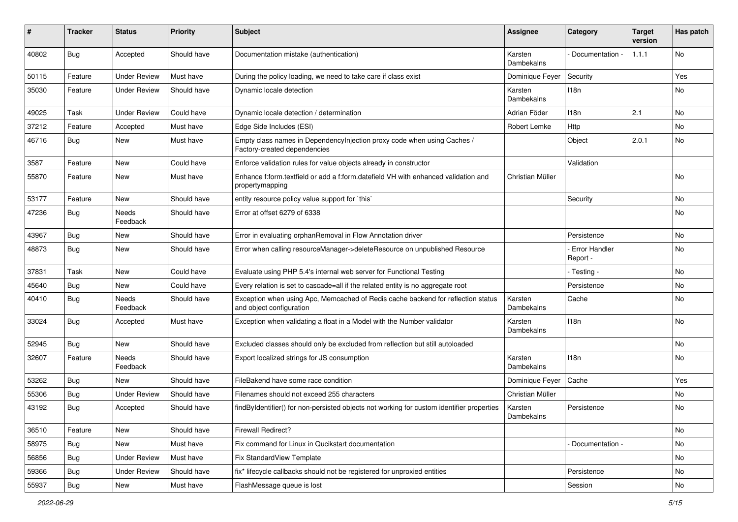| ∦     | <b>Tracker</b> | <b>Status</b>            | <b>Priority</b> | <b>Subject</b>                                                                                               | <b>Assignee</b>       | Category                  | <b>Target</b><br>version | Has patch |
|-------|----------------|--------------------------|-----------------|--------------------------------------------------------------------------------------------------------------|-----------------------|---------------------------|--------------------------|-----------|
| 40802 | Bug            | Accepted                 | Should have     | Documentation mistake (authentication)                                                                       | Karsten<br>Dambekalns | Documentation -           | 1.1.1                    | No        |
| 50115 | Feature        | <b>Under Review</b>      | Must have       | During the policy loading, we need to take care if class exist                                               | Dominique Feyer       | Security                  |                          | Yes       |
| 35030 | Feature        | <b>Under Review</b>      | Should have     | Dynamic locale detection                                                                                     | Karsten<br>Dambekalns | 118n                      |                          | No        |
| 49025 | Task           | <b>Under Review</b>      | Could have      | Dynamic locale detection / determination                                                                     | Adrian Föder          | 118n                      | 2.1                      | <b>No</b> |
| 37212 | Feature        | Accepted                 | Must have       | Edge Side Includes (ESI)                                                                                     | Robert Lemke          | Http                      |                          | No        |
| 46716 | <b>Bug</b>     | New                      | Must have       | Empty class names in Dependencylnjection proxy code when using Caches /<br>Factory-created dependencies      |                       | Object                    | 2.0.1                    | No        |
| 3587  | Feature        | <b>New</b>               | Could have      | Enforce validation rules for value objects already in constructor                                            |                       | Validation                |                          |           |
| 55870 | Feature        | New                      | Must have       | Enhance f:form.textfield or add a f:form.datefield VH with enhanced validation and<br>propertymapping        | Christian Müller      |                           |                          | No        |
| 53177 | Feature        | <b>New</b>               | Should have     | entity resource policy value support for `this`                                                              |                       | Security                  |                          | <b>No</b> |
| 47236 | <b>Bug</b>     | <b>Needs</b><br>Feedback | Should have     | Error at offset 6279 of 6338                                                                                 |                       |                           |                          | No        |
| 43967 | Bug            | New                      | Should have     | Error in evaluating orphanRemoval in Flow Annotation driver                                                  |                       | Persistence               |                          | No        |
| 48873 | Bug            | New                      | Should have     | Error when calling resourceManager->deleteResource on unpublished Resource                                   |                       | Error Handler<br>Report - |                          | No        |
| 37831 | Task           | <b>New</b>               | Could have      | Evaluate using PHP 5.4's internal web server for Functional Testing                                          |                       | - Testing -               |                          | <b>No</b> |
| 45640 | Bug            | New                      | Could have      | Every relation is set to cascade=all if the related entity is no aggregate root                              |                       | Persistence               |                          | No        |
| 40410 | <b>Bug</b>     | Needs<br>Feedback        | Should have     | Exception when using Apc, Memcached of Redis cache backend for reflection status<br>and object configuration | Karsten<br>Dambekalns | Cache                     |                          | No        |
| 33024 | Bug            | Accepted                 | Must have       | Exception when validating a float in a Model with the Number validator                                       | Karsten<br>Dambekalns | 118n                      |                          | No        |
| 52945 | Bug            | New                      | Should have     | Excluded classes should only be excluded from reflection but still autoloaded                                |                       |                           |                          | <b>No</b> |
| 32607 | Feature        | Needs<br>Feedback        | Should have     | Export localized strings for JS consumption                                                                  | Karsten<br>Dambekalns | 118n                      |                          | No        |
| 53262 | Bug            | New                      | Should have     | FileBakend have some race condition                                                                          | Dominique Feyer       | Cache                     |                          | Yes       |
| 55306 | <b>Bug</b>     | <b>Under Review</b>      | Should have     | Filenames should not exceed 255 characters                                                                   | Christian Müller      |                           |                          | No        |
| 43192 | <b>Bug</b>     | Accepted                 | Should have     | findByIdentifier() for non-persisted objects not working for custom identifier properties                    | Karsten<br>Dambekalns | Persistence               |                          | No        |
| 36510 | Feature        | New                      | Should have     | Firewall Redirect?                                                                                           |                       |                           |                          | No        |
| 58975 | <b>Bug</b>     | New                      | Must have       | Fix command for Linux in Qucikstart documentation                                                            |                       | - Documentation -         |                          | No        |
| 56856 | <b>Bug</b>     | <b>Under Review</b>      | Must have       | Fix StandardView Template                                                                                    |                       |                           |                          | No        |
| 59366 | <b>Bug</b>     | <b>Under Review</b>      | Should have     | fix* lifecycle callbacks should not be registered for unproxied entities                                     |                       | Persistence               |                          | No        |
| 55937 | <b>Bug</b>     | New                      | Must have       | FlashMessage queue is lost                                                                                   |                       | Session                   |                          | No        |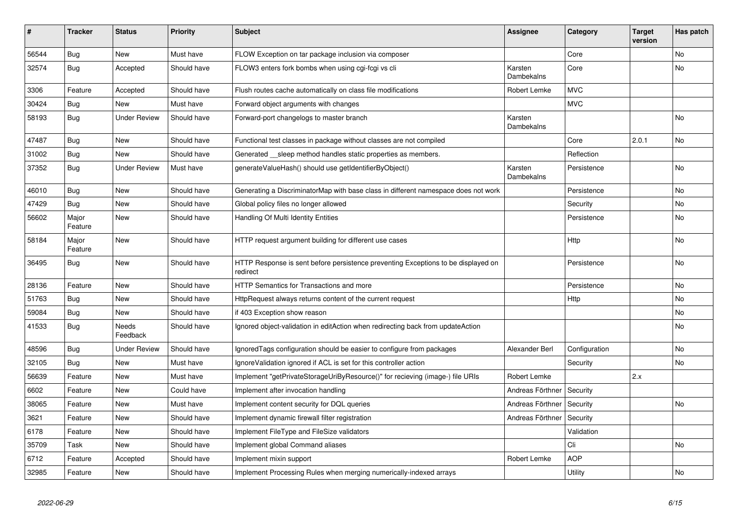| #     | <b>Tracker</b>   | <b>Status</b>       | <b>Priority</b> | <b>Subject</b>                                                                                | <b>Assignee</b>       | Category      | <b>Target</b><br>version | Has patch |
|-------|------------------|---------------------|-----------------|-----------------------------------------------------------------------------------------------|-----------------------|---------------|--------------------------|-----------|
| 56544 | Bug              | <b>New</b>          | Must have       | FLOW Exception on tar package inclusion via composer                                          |                       | Core          |                          | <b>No</b> |
| 32574 | Bug              | Accepted            | Should have     | FLOW3 enters fork bombs when using cgi-fcgi vs cli                                            | Karsten<br>Dambekalns | Core          |                          | <b>No</b> |
| 3306  | Feature          | Accepted            | Should have     | Flush routes cache automatically on class file modifications                                  | Robert Lemke          | <b>MVC</b>    |                          |           |
| 30424 | Bug              | <b>New</b>          | Must have       | Forward object arguments with changes                                                         |                       | <b>MVC</b>    |                          |           |
| 58193 | <b>Bug</b>       | <b>Under Review</b> | Should have     | Forward-port changelogs to master branch                                                      | Karsten<br>Dambekalns |               |                          | <b>No</b> |
| 47487 | Bug              | New                 | Should have     | Functional test classes in package without classes are not compiled                           |                       | Core          | 2.0.1                    | <b>No</b> |
| 31002 | Bug              | <b>New</b>          | Should have     | Generated __sleep method handles static properties as members.                                |                       | Reflection    |                          |           |
| 37352 | Bug              | <b>Under Review</b> | Must have       | generateValueHash() should use getIdentifierByObject()                                        | Karsten<br>Dambekalns | Persistence   |                          | <b>No</b> |
| 46010 | Bug              | <b>New</b>          | Should have     | Generating a DiscriminatorMap with base class in different namespace does not work            |                       | Persistence   |                          | No        |
| 47429 | <b>Bug</b>       | <b>New</b>          | Should have     | Global policy files no longer allowed                                                         |                       | Security      |                          | <b>No</b> |
| 56602 | Major<br>Feature | <b>New</b>          | Should have     | Handling Of Multi Identity Entities                                                           |                       | Persistence   |                          | <b>No</b> |
| 58184 | Major<br>Feature | <b>New</b>          | Should have     | HTTP request argument building for different use cases                                        |                       | <b>Http</b>   |                          | No        |
| 36495 | Bug              | <b>New</b>          | Should have     | HTTP Response is sent before persistence preventing Exceptions to be displayed on<br>redirect |                       | Persistence   |                          | No        |
| 28136 | Feature          | <b>New</b>          | Should have     | <b>HTTP Semantics for Transactions and more</b>                                               |                       | Persistence   |                          | No        |
| 51763 | Bug              | <b>New</b>          | Should have     | HttpRequest always returns content of the current request                                     |                       | Http          |                          | No        |
| 59084 | <b>Bug</b>       | <b>New</b>          | Should have     | if 403 Exception show reason                                                                  |                       |               |                          | No        |
| 41533 | <b>Bug</b>       | Needs<br>Feedback   | Should have     | Ignored object-validation in editAction when redirecting back from updateAction               |                       |               |                          | No        |
| 48596 | Bug              | <b>Under Review</b> | Should have     | IgnoredTags configuration should be easier to configure from packages                         | Alexander Berl        | Configuration |                          | <b>No</b> |
| 32105 | Bug              | New                 | Must have       | IgnoreValidation ignored if ACL is set for this controller action                             |                       | Security      |                          | No        |
| 56639 | Feature          | <b>New</b>          | Must have       | Implement "getPrivateStorageUriByResource()" for recieving (image-) file URIs                 | Robert Lemke          |               | 2.x                      |           |
| 6602  | Feature          | New                 | Could have      | Implement after invocation handling                                                           | Andreas Förthner      | Security      |                          |           |
| 38065 | Feature          | <b>New</b>          | Must have       | Implement content security for DQL queries                                                    | Andreas Förthner      | Security      |                          | No        |
| 3621  | Feature          | New                 | Should have     | Implement dynamic firewall filter registration                                                | Andreas Förthner      | Security      |                          |           |
| 6178  | Feature          | <b>New</b>          | Should have     | Implement FileType and FileSize validators                                                    |                       | Validation    |                          |           |
| 35709 | Task             | <b>New</b>          | Should have     | Implement global Command aliases                                                              |                       | Cli           |                          | No        |
| 6712  | Feature          | Accepted            | Should have     | Implement mixin support                                                                       | Robert Lemke          | <b>AOP</b>    |                          |           |
| 32985 | Feature          | New                 | Should have     | Implement Processing Rules when merging numerically-indexed arrays                            |                       | Utility       |                          | No        |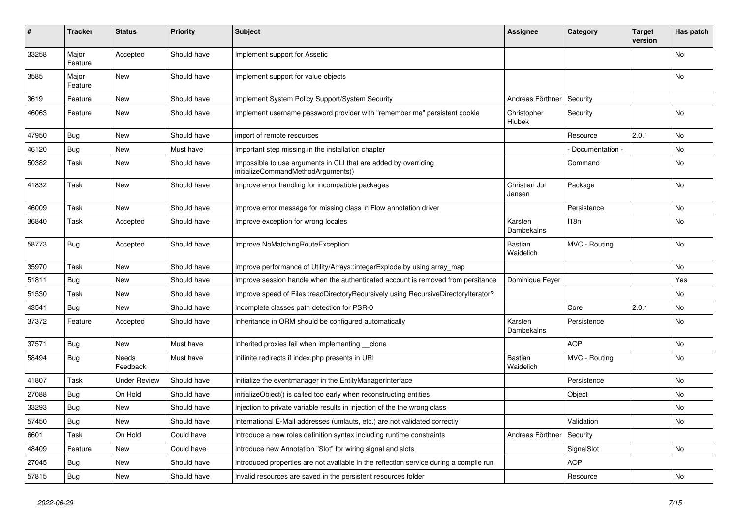| #     | <b>Tracker</b>   | <b>Status</b>       | <b>Priority</b> | <b>Subject</b>                                                                                        | <b>Assignee</b>         | Category        | <b>Target</b><br>version | Has patch      |
|-------|------------------|---------------------|-----------------|-------------------------------------------------------------------------------------------------------|-------------------------|-----------------|--------------------------|----------------|
| 33258 | Major<br>Feature | Accepted            | Should have     | Implement support for Assetic                                                                         |                         |                 |                          | No             |
| 3585  | Major<br>Feature | New                 | Should have     | Implement support for value objects                                                                   |                         |                 |                          | No             |
| 3619  | Feature          | New                 | Should have     | Implement System Policy Support/System Security                                                       | Andreas Förthner        | Security        |                          |                |
| 46063 | Feature          | New                 | Should have     | Implement username password provider with "remember me" persistent cookie                             | Christopher<br>Hlubek   | Security        |                          | <b>No</b>      |
| 47950 | Bug              | <b>New</b>          | Should have     | import of remote resources                                                                            |                         | Resource        | 2.0.1                    | N <sub>o</sub> |
| 46120 | Bug              | <b>New</b>          | Must have       | Important step missing in the installation chapter                                                    |                         | Documentation - |                          | <b>No</b>      |
| 50382 | Task             | <b>New</b>          | Should have     | Impossible to use arguments in CLI that are added by overriding<br>initializeCommandMethodArguments() |                         | Command         |                          | No             |
| 41832 | Task             | <b>New</b>          | Should have     | Improve error handling for incompatible packages                                                      | Christian Jul<br>Jensen | Package         |                          | <b>No</b>      |
| 46009 | Task             | New                 | Should have     | Improve error message for missing class in Flow annotation driver                                     |                         | Persistence     |                          | N <sub>o</sub> |
| 36840 | Task             | Accepted            | Should have     | Improve exception for wrong locales                                                                   | Karsten<br>Dambekalns   | 118n            |                          | No             |
| 58773 | Bug              | Accepted            | Should have     | Improve NoMatchingRouteException                                                                      | Bastian<br>Waidelich    | MVC - Routing   |                          | <b>No</b>      |
| 35970 | Task             | <b>New</b>          | Should have     | Improve performance of Utility/Arrays::integerExplode by using array_map                              |                         |                 |                          | No             |
| 51811 | Bug              | <b>New</b>          | Should have     | Improve session handle when the authenticated account is removed from persitance                      | Dominique Feyer         |                 |                          | Yes            |
| 51530 | Task             | <b>New</b>          | Should have     | Improve speed of Files::readDirectoryRecursively using RecursiveDirectoryIterator?                    |                         |                 |                          | No.            |
| 43541 | Bug              | New                 | Should have     | Incomplete classes path detection for PSR-0                                                           |                         | Core            | 2.0.1                    | No             |
| 37372 | Feature          | Accepted            | Should have     | Inheritance in ORM should be configured automatically                                                 | Karsten<br>Dambekalns   | Persistence     |                          | No             |
| 37571 | <b>Bug</b>       | <b>New</b>          | Must have       | Inherited proxies fail when implementing clone                                                        |                         | <b>AOP</b>      |                          | N <sub>o</sub> |
| 58494 | Bug              | Needs<br>Feedback   | Must have       | Inifinite redirects if index.php presents in URI                                                      | Bastian<br>Waidelich    | MVC - Routing   |                          | No             |
| 41807 | Task             | <b>Under Review</b> | Should have     | Initialize the eventmanager in the EntityManagerInterface                                             |                         | Persistence     |                          | <b>No</b>      |
| 27088 | Bug              | On Hold             | Should have     | initializeObject() is called too early when reconstructing entities                                   |                         | Object          |                          | No.            |
| 33293 | Bug              | <b>New</b>          | Should have     | Injection to private variable results in injection of the the wrong class                             |                         |                 |                          | No.            |
| 57450 | Bug              | <b>New</b>          | Should have     | International E-Mail addresses (umlauts, etc.) are not validated correctly                            |                         | Validation      |                          | No             |
| 6601  | Task             | On Hold             | Could have      | Introduce a new roles definition syntax including runtime constraints                                 | Andreas Förthner        | Security        |                          |                |
| 48409 | Feature          | <b>New</b>          | Could have      | Introduce new Annotation "Slot" for wiring signal and slots                                           |                         | SignalSlot      |                          | No             |
| 27045 | Bug              | <b>New</b>          | Should have     | Introduced properties are not available in the reflection service during a compile run                |                         | <b>AOP</b>      |                          |                |
| 57815 | Bug              | New                 | Should have     | Invalid resources are saved in the persistent resources folder                                        |                         | Resource        |                          | No             |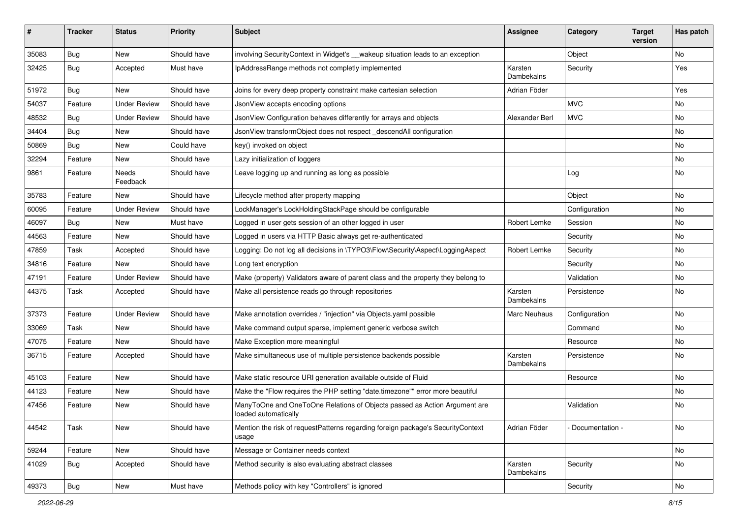| ∦     | <b>Tracker</b> | <b>Status</b>       | <b>Priority</b> | <b>Subject</b>                                                                                    | <b>Assignee</b>       | Category        | <b>Target</b><br>version | Has patch |
|-------|----------------|---------------------|-----------------|---------------------------------------------------------------------------------------------------|-----------------------|-----------------|--------------------------|-----------|
| 35083 | Bug            | New                 | Should have     | involving SecurityContext in Widget's __wakeup situation leads to an exception                    |                       | Object          |                          | No        |
| 32425 | <b>Bug</b>     | Accepted            | Must have       | IpAddressRange methods not completly implemented                                                  | Karsten<br>Dambekalns | Security        |                          | Yes       |
| 51972 | Bug            | New                 | Should have     | Joins for every deep property constraint make cartesian selection                                 | Adrian Föder          |                 |                          | Yes       |
| 54037 | Feature        | <b>Under Review</b> | Should have     | JsonView accepts encoding options                                                                 |                       | <b>MVC</b>      |                          | No        |
| 48532 | <b>Bug</b>     | <b>Under Review</b> | Should have     | JsonView Configuration behaves differently for arrays and objects                                 | Alexander Berl        | <b>MVC</b>      |                          | <b>No</b> |
| 34404 | Bug            | New                 | Should have     | JsonView transformObject does not respect descendAll configuration                                |                       |                 |                          | No        |
| 50869 | <b>Bug</b>     | New                 | Could have      | key() invoked on object                                                                           |                       |                 |                          | No        |
| 32294 | Feature        | New                 | Should have     | Lazy initialization of loggers                                                                    |                       |                 |                          | No        |
| 9861  | Feature        | Needs<br>Feedback   | Should have     | Leave logging up and running as long as possible                                                  |                       | Log             |                          | No        |
| 35783 | Feature        | New                 | Should have     | Lifecycle method after property mapping                                                           |                       | Object          |                          | <b>No</b> |
| 60095 | Feature        | <b>Under Review</b> | Should have     | LockManager's LockHoldingStackPage should be configurable                                         |                       | Configuration   |                          | No        |
| 46097 | <b>Bug</b>     | New                 | Must have       | Logged in user gets session of an other logged in user                                            | Robert Lemke          | Session         |                          | No        |
| 44563 | Feature        | New                 | Should have     | Logged in users via HTTP Basic always get re-authenticated                                        |                       | Security        |                          | No        |
| 47859 | Task           | Accepted            | Should have     | Logging: Do not log all decisions in \TYPO3\Flow\Security\Aspect\LoggingAspect                    | Robert Lemke          | Security        |                          | No        |
| 34816 | Feature        | New                 | Should have     | Long text encryption                                                                              |                       | Security        |                          | No        |
| 47191 | Feature        | <b>Under Review</b> | Should have     | Make (property) Validators aware of parent class and the property they belong to                  |                       | Validation      |                          | No        |
| 44375 | Task           | Accepted            | Should have     | Make all persistence reads go through repositories                                                | Karsten<br>Dambekalns | Persistence     |                          | No        |
| 37373 | Feature        | <b>Under Review</b> | Should have     | Make annotation overrides / "injection" via Objects.yaml possible                                 | Marc Neuhaus          | Configuration   |                          | No        |
| 33069 | Task           | New                 | Should have     | Make command output sparse, implement generic verbose switch                                      |                       | Command         |                          | No        |
| 47075 | Feature        | New                 | Should have     | Make Exception more meaningful                                                                    |                       | Resource        |                          | No        |
| 36715 | Feature        | Accepted            | Should have     | Make simultaneous use of multiple persistence backends possible                                   | Karsten<br>Dambekalns | Persistence     |                          | No        |
| 45103 | Feature        | New                 | Should have     | Make static resource URI generation available outside of Fluid                                    |                       | Resource        |                          | No        |
| 44123 | Feature        | New                 | Should have     | Make the "Flow requires the PHP setting "date.timezone"" error more beautiful                     |                       |                 |                          | No        |
| 47456 | Feature        | New                 | Should have     | ManyToOne and OneToOne Relations of Objects passed as Action Argument are<br>loaded automatically |                       | Validation      |                          | No        |
| 44542 | Task           | New                 | Should have     | Mention the risk of requestPatterns regarding foreign package's SecurityContext<br>usage          | Adrian Föder          | Documentation - |                          | No        |
| 59244 | Feature        | New                 | Should have     | Message or Container needs context                                                                |                       |                 |                          | No        |
| 41029 | <b>Bug</b>     | Accepted            | Should have     | Method security is also evaluating abstract classes                                               | Karsten<br>Dambekalns | Security        |                          | No        |
| 49373 | i Bug          | New                 | Must have       | Methods policy with key "Controllers" is ignored                                                  |                       | Security        |                          | No        |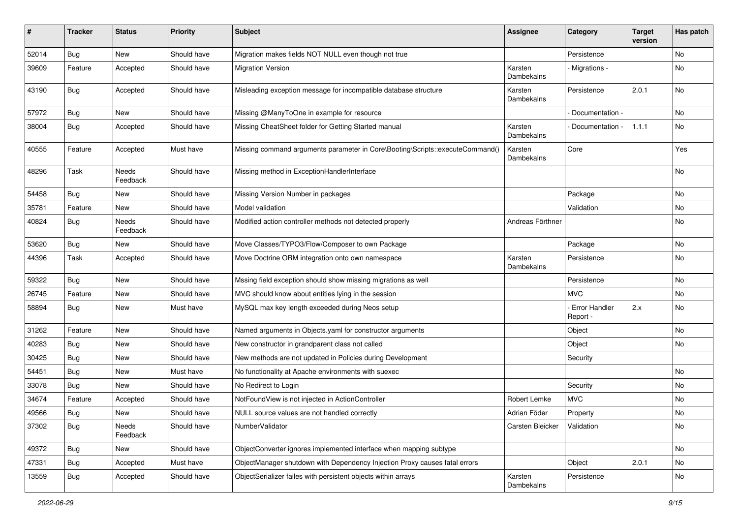| #     | <b>Tracker</b> | <b>Status</b>            | <b>Priority</b> | <b>Subject</b>                                                               | <b>Assignee</b>       | Category                    | <b>Target</b><br>version | Has patch |
|-------|----------------|--------------------------|-----------------|------------------------------------------------------------------------------|-----------------------|-----------------------------|--------------------------|-----------|
| 52014 | Bug            | New                      | Should have     | Migration makes fields NOT NULL even though not true                         |                       | Persistence                 |                          | No        |
| 39609 | Feature        | Accepted                 | Should have     | <b>Migration Version</b>                                                     | Karsten<br>Dambekalns | Migrations -                |                          | No        |
| 43190 | <b>Bug</b>     | Accepted                 | Should have     | Misleading exception message for incompatible database structure             | Karsten<br>Dambekalns | Persistence                 | 2.0.1                    | No        |
| 57972 | Bug            | New                      | Should have     | Missing @ManyToOne in example for resource                                   |                       | Documentation -             |                          | <b>No</b> |
| 38004 | Bug            | Accepted                 | Should have     | Missing CheatSheet folder for Getting Started manual                         | Karsten<br>Dambekalns | Documentation -             | 1.1.1                    | No        |
| 40555 | Feature        | Accepted                 | Must have       | Missing command arguments parameter in Core\Booting\Scripts::executeCommand( | Karsten<br>Dambekalns | Core                        |                          | Yes       |
| 48296 | Task           | <b>Needs</b><br>Feedback | Should have     | Missing method in ExceptionHandlerInterface                                  |                       |                             |                          | No        |
| 54458 | Bug            | New                      | Should have     | Missing Version Number in packages                                           |                       | Package                     |                          | <b>No</b> |
| 35781 | Feature        | New                      | Should have     | Model validation                                                             |                       | Validation                  |                          | No        |
| 40824 | Bug            | <b>Needs</b><br>Feedback | Should have     | Modified action controller methods not detected properly                     | Andreas Förthner      |                             |                          | No        |
| 53620 | Bug            | New                      | Should have     | Move Classes/TYPO3/Flow/Composer to own Package                              |                       | Package                     |                          | No        |
| 44396 | Task           | Accepted                 | Should have     | Move Doctrine ORM integration onto own namespace                             | Karsten<br>Dambekalns | Persistence                 |                          | No        |
| 59322 | <b>Bug</b>     | New                      | Should have     | Mssing field exception should show missing migrations as well                |                       | Persistence                 |                          | No        |
| 26745 | Feature        | New                      | Should have     | MVC should know about entities lying in the session                          |                       | MVC.                        |                          | No        |
| 58894 | <b>Bug</b>     | New                      | Must have       | MySQL max key length exceeded during Neos setup                              |                       | - Error Handler<br>Report - | 2.x                      | No        |
| 31262 | Feature        | New                      | Should have     | Named arguments in Objects.yaml for constructor arguments                    |                       | Object                      |                          | No        |
| 40283 | Bug            | New                      | Should have     | New constructor in grandparent class not called                              |                       | Object                      |                          | <b>No</b> |
| 30425 | <b>Bug</b>     | New                      | Should have     | New methods are not updated in Policies during Development                   |                       | Security                    |                          |           |
| 54451 | <b>Bug</b>     | New                      | Must have       | No functionality at Apache environments with suexec                          |                       |                             |                          | No        |
| 33078 | Bug            | New                      | Should have     | No Redirect to Login                                                         |                       | Security                    |                          | No        |
| 34674 | Feature        | Accepted                 | Should have     | NotFoundView is not injected in ActionController                             | Robert Lemke          | <b>MVC</b>                  |                          | No        |
| 49566 | <b>Bug</b>     | New                      | Should have     | NULL source values are not handled correctly                                 | Adrian Föder          | Property                    |                          | No        |
| 37302 | <b>Bug</b>     | Needs<br>Feedback        | Should have     | NumberValidator                                                              | Carsten Bleicker      | Validation                  |                          | No        |
| 49372 | <b>Bug</b>     | New                      | Should have     | ObjectConverter ignores implemented interface when mapping subtype           |                       |                             |                          | No        |
| 47331 | <b>Bug</b>     | Accepted                 | Must have       | ObjectManager shutdown with Dependency Injection Proxy causes fatal errors   |                       | Object                      | 2.0.1                    | No        |
| 13559 | <b>Bug</b>     | Accepted                 | Should have     | ObjectSerializer failes with persistent objects within arrays                | Karsten<br>Dambekalns | Persistence                 |                          | No        |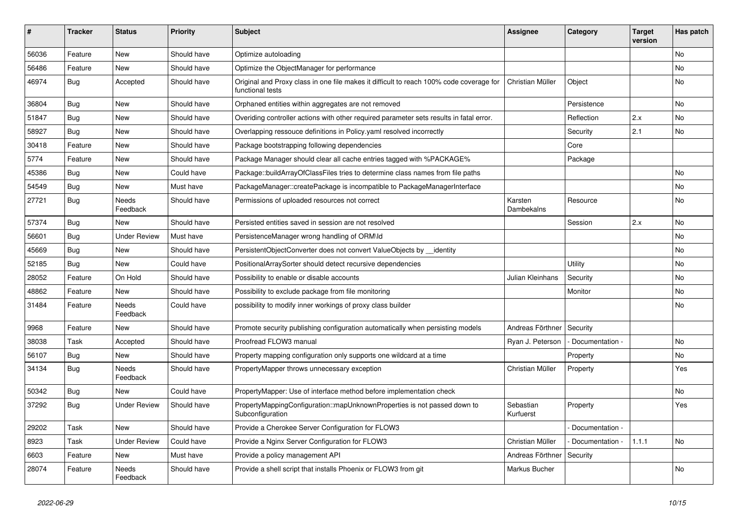| ∦     | <b>Tracker</b> | <b>Status</b>            | <b>Priority</b> | <b>Subject</b>                                                                                              | <b>Assignee</b>        | Category        | <b>Target</b><br>version | Has patch |
|-------|----------------|--------------------------|-----------------|-------------------------------------------------------------------------------------------------------------|------------------------|-----------------|--------------------------|-----------|
| 56036 | Feature        | New                      | Should have     | Optimize autoloading                                                                                        |                        |                 |                          | No        |
| 56486 | Feature        | New                      | Should have     | Optimize the ObjectManager for performance                                                                  |                        |                 |                          | No        |
| 46974 | <b>Bug</b>     | Accepted                 | Should have     | Original and Proxy class in one file makes it difficult to reach 100% code coverage for<br>functional tests | Christian Müller       | Object          |                          | No        |
| 36804 | Bug            | <b>New</b>               | Should have     | Orphaned entities within aggregates are not removed                                                         |                        | Persistence     |                          | No        |
| 51847 | <b>Bug</b>     | New                      | Should have     | Overiding controller actions with other required parameter sets results in fatal error.                     |                        | Reflection      | 2.x                      | No        |
| 58927 | <b>Bug</b>     | New                      | Should have     | Overlapping ressouce definitions in Policy yaml resolved incorrectly                                        |                        | Security        | 2.1                      | No        |
| 30418 | Feature        | New                      | Should have     | Package bootstrapping following dependencies                                                                |                        | Core            |                          |           |
| 5774  | Feature        | New                      | Should have     | Package Manager should clear all cache entries tagged with %PACKAGE%                                        |                        | Package         |                          |           |
| 45386 | <b>Bug</b>     | New                      | Could have      | Package::buildArrayOfClassFiles tries to determine class names from file paths                              |                        |                 |                          | <b>No</b> |
| 54549 | <b>Bug</b>     | New                      | Must have       | PackageManager::createPackage is incompatible to PackageManagerInterface                                    |                        |                 |                          | No        |
| 27721 | Bug            | <b>Needs</b><br>Feedback | Should have     | Permissions of uploaded resources not correct                                                               | Karsten<br>Dambekalns  | Resource        |                          | No        |
| 57374 | Bug            | New                      | Should have     | Persisted entities saved in session are not resolved                                                        |                        | Session         | 2.x                      | <b>No</b> |
| 56601 | <b>Bug</b>     | <b>Under Review</b>      | Must have       | PersistenceManager wrong handling of ORM\ld                                                                 |                        |                 |                          | No        |
| 45669 | <b>Bug</b>     | New                      | Should have     | PersistentObjectConverter does not convert ValueObjects by __identity                                       |                        |                 |                          | No        |
| 52185 | Bug            | New                      | Could have      | PositionalArraySorter should detect recursive dependencies                                                  |                        | Utility         |                          | No        |
| 28052 | Feature        | On Hold                  | Should have     | Possibility to enable or disable accounts                                                                   | Julian Kleinhans       | Security        |                          | No        |
| 48862 | Feature        | New                      | Should have     | Possibility to exclude package from file monitoring                                                         |                        | Monitor         |                          | No        |
| 31484 | Feature        | Needs<br>Feedback        | Could have      | possibility to modify inner workings of proxy class builder                                                 |                        |                 |                          | No        |
| 9968  | Feature        | New                      | Should have     | Promote security publishing configuration automatically when persisting models                              | Andreas Förthner       | Security        |                          |           |
| 38038 | Task           | Accepted                 | Should have     | Proofread FLOW3 manual                                                                                      | Ryan J. Peterson       | Documentation - |                          | No        |
| 56107 | <b>Bug</b>     | New                      | Should have     | Property mapping configuration only supports one wildcard at a time                                         |                        | Property        |                          | No        |
| 34134 | Bug            | Needs<br>Feedback        | Should have     | PropertyMapper throws unnecessary exception                                                                 | Christian Müller       | Property        |                          | Yes       |
| 50342 | <b>Bug</b>     | New                      | Could have      | PropertyMapper: Use of interface method before implementation check                                         |                        |                 |                          | No        |
| 37292 | Bug            | <b>Under Review</b>      | Should have     | PropertyMappingConfiguration::mapUnknownProperties is not passed down to<br>Subconfiguration                | Sebastian<br>Kurfuerst | Property        |                          | Yes       |
| 29202 | Task           | New                      | Should have     | Provide a Cherokee Server Configuration for FLOW3                                                           |                        | Documentation - |                          |           |
| 8923  | Task           | <b>Under Review</b>      | Could have      | Provide a Nginx Server Configuration for FLOW3                                                              | Christian Müller       | Documentation - | 1.1.1                    | No        |
| 6603  | Feature        | New                      | Must have       | Provide a policy management API                                                                             | Andreas Förthner       | Security        |                          |           |
| 28074 | Feature        | Needs<br>Feedback        | Should have     | Provide a shell script that installs Phoenix or FLOW3 from git                                              | Markus Bucher          |                 |                          | No        |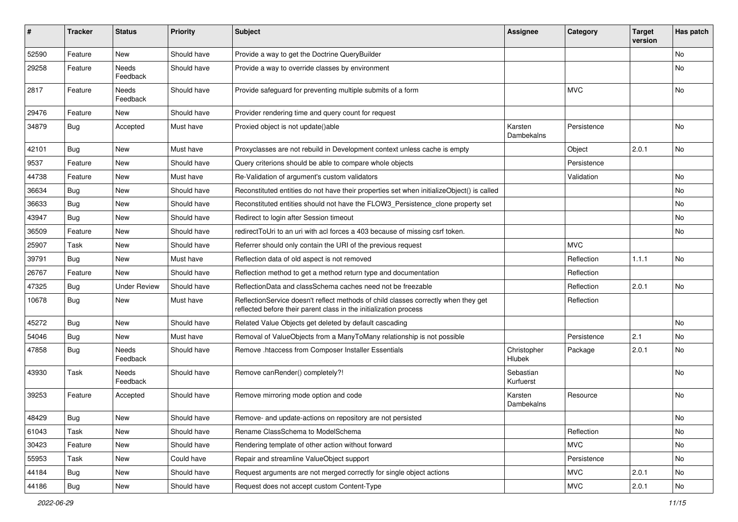| #     | <b>Tracker</b> | <b>Status</b>       | <b>Priority</b> | <b>Subject</b>                                                                                                                                          | <b>Assignee</b>        | Category    | <b>Target</b><br>version | Has patch |
|-------|----------------|---------------------|-----------------|---------------------------------------------------------------------------------------------------------------------------------------------------------|------------------------|-------------|--------------------------|-----------|
| 52590 | Feature        | <b>New</b>          | Should have     | Provide a way to get the Doctrine QueryBuilder                                                                                                          |                        |             |                          | <b>No</b> |
| 29258 | Feature        | Needs<br>Feedback   | Should have     | Provide a way to override classes by environment                                                                                                        |                        |             |                          | No        |
| 2817  | Feature        | Needs<br>Feedback   | Should have     | Provide safeguard for preventing multiple submits of a form                                                                                             |                        | <b>MVC</b>  |                          | <b>No</b> |
| 29476 | Feature        | New                 | Should have     | Provider rendering time and query count for request                                                                                                     |                        |             |                          |           |
| 34879 | <b>Bug</b>     | Accepted            | Must have       | Proxied object is not update()able                                                                                                                      | Karsten<br>Dambekalns  | Persistence |                          | <b>No</b> |
| 42101 | Bug            | New                 | Must have       | Proxyclasses are not rebuild in Development context unless cache is empty                                                                               |                        | Object      | 2.0.1                    | No        |
| 9537  | Feature        | New                 | Should have     | Query criterions should be able to compare whole objects                                                                                                |                        | Persistence |                          |           |
| 44738 | Feature        | New                 | Must have       | Re-Validation of argument's custom validators                                                                                                           |                        | Validation  |                          | No        |
| 36634 | Bug            | New                 | Should have     | Reconstituted entities do not have their properties set when initializeObject() is called                                                               |                        |             |                          | <b>No</b> |
| 36633 | <b>Bug</b>     | New                 | Should have     | Reconstituted entities should not have the FLOW3_Persistence_clone property set                                                                         |                        |             |                          | No        |
| 43947 | <b>Bug</b>     | <b>New</b>          | Should have     | Redirect to login after Session timeout                                                                                                                 |                        |             |                          | <b>No</b> |
| 36509 | Feature        | New                 | Should have     | redirectToUri to an uri with acl forces a 403 because of missing csrf token.                                                                            |                        |             |                          | No        |
| 25907 | Task           | New                 | Should have     | Referrer should only contain the URI of the previous request                                                                                            |                        | <b>MVC</b>  |                          |           |
| 39791 | Bug            | New                 | Must have       | Reflection data of old aspect is not removed                                                                                                            |                        | Reflection  | 1.1.1                    | <b>No</b> |
| 26767 | Feature        | New                 | Should have     | Reflection method to get a method return type and documentation                                                                                         |                        | Reflection  |                          |           |
| 47325 | Bug            | <b>Under Review</b> | Should have     | ReflectionData and classSchema caches need not be freezable                                                                                             |                        | Reflection  | 2.0.1                    | <b>No</b> |
| 10678 | <b>Bug</b>     | New                 | Must have       | ReflectionService doesn't reflect methods of child classes correctly when they get<br>reflected before their parent class in the initialization process |                        | Reflection  |                          |           |
| 45272 | Bug            | New                 | Should have     | Related Value Objects get deleted by default cascading                                                                                                  |                        |             |                          | No        |
| 54046 | <b>Bug</b>     | <b>New</b>          | Must have       | Removal of ValueObjects from a ManyToMany relationship is not possible                                                                                  |                        | Persistence | 2.1                      | <b>No</b> |
| 47858 | Bug            | Needs<br>Feedback   | Should have     | Remove .htaccess from Composer Installer Essentials                                                                                                     | Christopher<br>Hlubek  | Package     | 2.0.1                    | No        |
| 43930 | Task           | Needs<br>Feedback   | Should have     | Remove canRender() completely?!                                                                                                                         | Sebastian<br>Kurfuerst |             |                          | <b>No</b> |
| 39253 | Feature        | Accepted            | Should have     | Remove mirroring mode option and code                                                                                                                   | Karsten<br>Dambekalns  | Resource    |                          | <b>No</b> |
| 48429 | <b>Bug</b>     | New                 | Should have     | Remove- and update-actions on repository are not persisted                                                                                              |                        |             |                          | No        |
| 61043 | Task           | New                 | Should have     | Rename ClassSchema to ModelSchema                                                                                                                       |                        | Reflection  |                          | No        |
| 30423 | Feature        | New                 | Should have     | Rendering template of other action without forward                                                                                                      |                        | <b>MVC</b>  |                          | No        |
| 55953 | Task           | New                 | Could have      | Repair and streamline ValueObject support                                                                                                               |                        | Persistence |                          | No        |
| 44184 | <b>Bug</b>     | New                 | Should have     | Request arguments are not merged correctly for single object actions                                                                                    |                        | <b>MVC</b>  | 2.0.1                    | No        |
| 44186 | <b>Bug</b>     | New                 | Should have     | Request does not accept custom Content-Type                                                                                                             |                        | <b>MVC</b>  | 2.0.1                    | No        |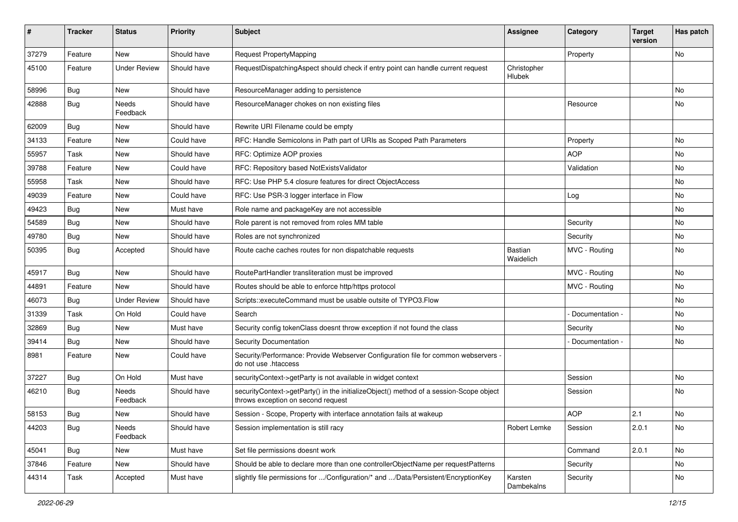| ∦     | <b>Tracker</b> | <b>Status</b>       | <b>Priority</b> | <b>Subject</b>                                                                                                               | Assignee              | Category        | <b>Target</b><br>version | Has patch |
|-------|----------------|---------------------|-----------------|------------------------------------------------------------------------------------------------------------------------------|-----------------------|-----------------|--------------------------|-----------|
| 37279 | Feature        | <b>New</b>          | Should have     | Request PropertyMapping                                                                                                      |                       | Property        |                          | No        |
| 45100 | Feature        | <b>Under Review</b> | Should have     | RequestDispatchingAspect should check if entry point can handle current request                                              | Christopher<br>Hlubek |                 |                          |           |
| 58996 | Bug            | <b>New</b>          | Should have     | ResourceManager adding to persistence                                                                                        |                       |                 |                          | No        |
| 42888 | Bug            | Needs<br>Feedback   | Should have     | ResourceManager chokes on non existing files                                                                                 |                       | Resource        |                          | No        |
| 62009 | Bug            | <b>New</b>          | Should have     | Rewrite URI Filename could be empty                                                                                          |                       |                 |                          |           |
| 34133 | Feature        | <b>New</b>          | Could have      | RFC: Handle Semicolons in Path part of URIs as Scoped Path Parameters                                                        |                       | Property        |                          | No        |
| 55957 | Task           | <b>New</b>          | Should have     | RFC: Optimize AOP proxies                                                                                                    |                       | <b>AOP</b>      |                          | No        |
| 39788 | Feature        | <b>New</b>          | Could have      | RFC: Repository based NotExistsValidator                                                                                     |                       | Validation      |                          | No        |
| 55958 | Task           | <b>New</b>          | Should have     | RFC: Use PHP 5.4 closure features for direct ObjectAccess                                                                    |                       |                 |                          | No        |
| 49039 | Feature        | <b>New</b>          | Could have      | RFC: Use PSR-3 logger interface in Flow                                                                                      |                       | Log             |                          | No        |
| 49423 | <b>Bug</b>     | New                 | Must have       | Role name and packageKey are not accessible                                                                                  |                       |                 |                          | No        |
| 54589 | Bug            | <b>New</b>          | Should have     | Role parent is not removed from roles MM table                                                                               |                       | Security        |                          | No        |
| 49780 | <b>Bug</b>     | New                 | Should have     | Roles are not synchronized                                                                                                   |                       | Security        |                          | No        |
| 50395 | <b>Bug</b>     | Accepted            | Should have     | Route cache caches routes for non dispatchable requests                                                                      | Bastian<br>Waidelich  | MVC - Routing   |                          | No        |
| 45917 | <b>Bug</b>     | <b>New</b>          | Should have     | RoutePartHandler transliteration must be improved                                                                            |                       | MVC - Routing   |                          | No.       |
| 44891 | Feature        | <b>New</b>          | Should have     | Routes should be able to enforce http/https protocol                                                                         |                       | MVC - Routing   |                          | No        |
| 46073 | Bug            | <b>Under Review</b> | Should have     | Scripts::executeCommand must be usable outsite of TYPO3.Flow                                                                 |                       |                 |                          | No        |
| 31339 | Task           | On Hold             | Could have      | Search                                                                                                                       |                       | Documentation - |                          | No        |
| 32869 | Bug            | <b>New</b>          | Must have       | Security config tokenClass doesnt throw exception if not found the class                                                     |                       | Security        |                          | No        |
| 39414 | <b>Bug</b>     | <b>New</b>          | Should have     | Security Documentation                                                                                                       |                       | Documentation - |                          | No        |
| 8981  | Feature        | <b>New</b>          | Could have      | Security/Performance: Provide Webserver Configuration file for common webservers -<br>do not use .htaccess                   |                       |                 |                          |           |
| 37227 | Bug            | On Hold             | Must have       | securityContext->getParty is not available in widget context                                                                 |                       | Session         |                          | No        |
| 46210 | <b>Bug</b>     | Needs<br>Feedback   | Should have     | securityContext->getParty() in the initializeObject() method of a session-Scope object<br>throws exception on second request |                       | Session         |                          | No        |
| 58153 | Bug            | <b>New</b>          | Should have     | Session - Scope, Property with interface annotation fails at wakeup                                                          |                       | <b>AOP</b>      | 2.1                      | No        |
| 44203 | <b>Bug</b>     | Needs<br>Feedback   | Should have     | Session implementation is still racy                                                                                         | Robert Lemke          | Session         | 2.0.1                    | No        |
| 45041 | Bug            | New                 | Must have       | Set file permissions doesnt work                                                                                             |                       | Command         | 2.0.1                    | No        |
| 37846 | Feature        | New                 | Should have     | Should be able to declare more than one controllerObjectName per requestPatterns                                             |                       | Security        |                          | No        |
| 44314 | Task           | Accepted            | Must have       | slightly file permissions for /Configuration/* and /Data/Persistent/EncryptionKey                                            | Karsten<br>Dambekalns | Security        |                          | No        |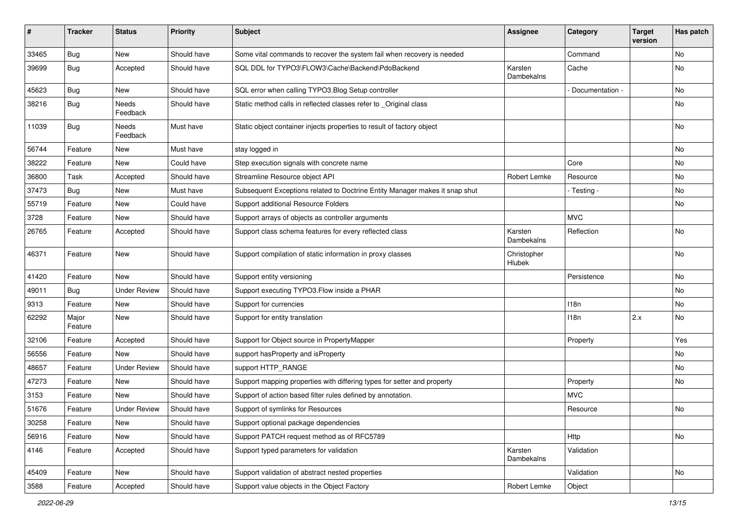| #     | <b>Tracker</b>   | <b>Status</b>       | <b>Priority</b> | <b>Subject</b>                                                              | Assignee              | Category        | <b>Target</b><br>version | Has patch |
|-------|------------------|---------------------|-----------------|-----------------------------------------------------------------------------|-----------------------|-----------------|--------------------------|-----------|
| 33465 | Bug              | New                 | Should have     | Some vital commands to recover the system fail when recovery is needed      |                       | Command         |                          | No        |
| 39699 | Bug              | Accepted            | Should have     | SQL DDL for TYPO3\FLOW3\Cache\Backend\PdoBackend                            | Karsten<br>Dambekalns | Cache           |                          | No        |
| 45623 | <b>Bug</b>       | <b>New</b>          | Should have     | SQL error when calling TYPO3. Blog Setup controller                         |                       | Documentation - |                          | <b>No</b> |
| 38216 | <b>Bug</b>       | Needs<br>Feedback   | Should have     | Static method calls in reflected classes refer to _Original class           |                       |                 |                          | No        |
| 11039 | <b>Bug</b>       | Needs<br>Feedback   | Must have       | Static object container injects properties to result of factory object      |                       |                 |                          | No        |
| 56744 | Feature          | New                 | Must have       | stay logged in                                                              |                       |                 |                          | <b>No</b> |
| 38222 | Feature          | New                 | Could have      | Step execution signals with concrete name                                   |                       | Core            |                          | No        |
| 36800 | Task             | Accepted            | Should have     | Streamline Resource object API                                              | Robert Lemke          | Resource        |                          | No        |
| 37473 | Bug              | New                 | Must have       | Subsequent Exceptions related to Doctrine Entity Manager makes it snap shut |                       | - Testing -     |                          | No        |
| 55719 | Feature          | New                 | Could have      | Support additional Resource Folders                                         |                       |                 |                          | No        |
| 3728  | Feature          | New                 | Should have     | Support arrays of objects as controller arguments                           |                       | <b>MVC</b>      |                          |           |
| 26765 | Feature          | Accepted            | Should have     | Support class schema features for every reflected class                     | Karsten<br>Dambekalns | Reflection      |                          | No        |
| 46371 | Feature          | New                 | Should have     | Support compilation of static information in proxy classes                  | Christopher<br>Hlubek |                 |                          | No        |
| 41420 | Feature          | New                 | Should have     | Support entity versioning                                                   |                       | Persistence     |                          | No        |
| 49011 | Bug              | <b>Under Review</b> | Should have     | Support executing TYPO3.Flow inside a PHAR                                  |                       |                 |                          | No        |
| 9313  | Feature          | New                 | Should have     | Support for currencies                                                      |                       | 118n            |                          | No        |
| 62292 | Major<br>Feature | New                 | Should have     | Support for entity translation                                              |                       | 118n            | 2.x                      | No        |
| 32106 | Feature          | Accepted            | Should have     | Support for Object source in PropertyMapper                                 |                       | Property        |                          | Yes       |
| 56556 | Feature          | New                 | Should have     | support hasProperty and isProperty                                          |                       |                 |                          | No        |
| 48657 | Feature          | <b>Under Review</b> | Should have     | support HTTP_RANGE                                                          |                       |                 |                          | No        |
| 47273 | Feature          | New                 | Should have     | Support mapping properties with differing types for setter and property     |                       | Property        |                          | No        |
| 3153  | Feature          | <b>New</b>          | Should have     | Support of action based filter rules defined by annotation.                 |                       | <b>MVC</b>      |                          |           |
| 51676 | Feature          | <b>Under Review</b> | Should have     | Support of symlinks for Resources                                           |                       | Resource        |                          | No        |
| 30258 | Feature          | New                 | Should have     | Support optional package dependencies                                       |                       |                 |                          |           |
| 56916 | Feature          | New                 | Should have     | Support PATCH request method as of RFC5789                                  |                       | Http            |                          | No        |
| 4146  | Feature          | Accepted            | Should have     | Support typed parameters for validation                                     | Karsten<br>Dambekalns | Validation      |                          |           |
| 45409 | Feature          | New                 | Should have     | Support validation of abstract nested properties                            |                       | Validation      |                          | No        |
| 3588  | Feature          | Accepted            | Should have     | Support value objects in the Object Factory                                 | Robert Lemke          | Object          |                          |           |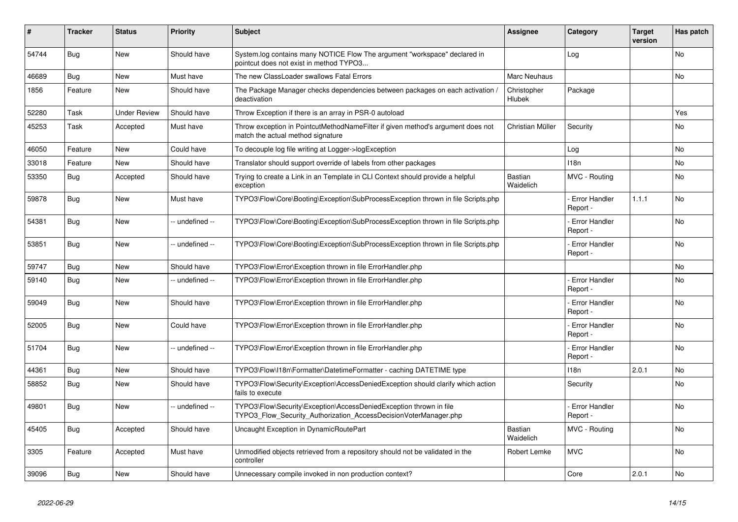| #     | <b>Tracker</b> | <b>Status</b>       | <b>Priority</b> | <b>Subject</b>                                                                                                                         | <b>Assignee</b>             | Category                         | <b>Target</b><br>version | Has patch |
|-------|----------------|---------------------|-----------------|----------------------------------------------------------------------------------------------------------------------------------------|-----------------------------|----------------------------------|--------------------------|-----------|
| 54744 | <b>Bug</b>     | <b>New</b>          | Should have     | System.log contains many NOTICE Flow The argument "workspace" declared in<br>pointcut does not exist in method TYPO3                   |                             | Log                              |                          | <b>No</b> |
| 46689 | Bug            | <b>New</b>          | Must have       | The new ClassLoader swallows Fatal Errors                                                                                              | Marc Neuhaus                |                                  |                          | <b>No</b> |
| 1856  | Feature        | <b>New</b>          | Should have     | The Package Manager checks dependencies between packages on each activation,<br>deactivation                                           | Christopher<br>Hlubek       | Package                          |                          |           |
| 52280 | Task           | <b>Under Review</b> | Should have     | Throw Exception if there is an array in PSR-0 autoload                                                                                 |                             |                                  |                          | Yes       |
| 45253 | Task           | Accepted            | Must have       | Throw exception in PointcutMethodNameFilter if given method's argument does not<br>match the actual method signature                   | Christian Müller            | Security                         |                          | <b>No</b> |
| 46050 | Feature        | <b>New</b>          | Could have      | To decouple log file writing at Logger->logException                                                                                   |                             | Log                              |                          | No        |
| 33018 | Feature        | <b>New</b>          | Should have     | Translator should support override of labels from other packages                                                                       |                             | 118n                             |                          | No        |
| 53350 | Bug            | Accepted            | Should have     | Trying to create a Link in an Template in CLI Context should provide a helpful<br>exception                                            | Bastian<br>Waidelich        | MVC - Routing                    |                          | No        |
| 59878 | Bug            | <b>New</b>          | Must have       | TYPO3\Flow\Core\Booting\Exception\SubProcessException thrown in file Scripts.php                                                       |                             | Error Handler<br>Report -        | 1.1.1                    | <b>No</b> |
| 54381 | Bug            | <b>New</b>          | -- undefined -- | TYPO3\Flow\Core\Booting\Exception\SubProcessException thrown in file Scripts.php                                                       |                             | <b>Error Handler</b><br>Report - |                          | <b>No</b> |
| 53851 | <b>Bug</b>     | <b>New</b>          | -- undefined -- | TYPO3\Flow\Core\Booting\Exception\SubProcessException thrown in file Scripts.php                                                       |                             | <b>Error Handler</b><br>Report - |                          | <b>No</b> |
| 59747 | <b>Bug</b>     | <b>New</b>          | Should have     | TYPO3\Flow\Error\Exception thrown in file ErrorHandler.php                                                                             |                             |                                  |                          | No        |
| 59140 | Bug            | <b>New</b>          | -- undefined -- | TYPO3\Flow\Error\Exception thrown in file ErrorHandler.php                                                                             |                             | Error Handler<br>Report -        |                          | <b>No</b> |
| 59049 | Bug            | <b>New</b>          | Should have     | TYPO3\Flow\Error\Exception thrown in file ErrorHandler.php                                                                             |                             | <b>Error Handler</b><br>Report - |                          | <b>No</b> |
| 52005 | <b>Bug</b>     | <b>New</b>          | Could have      | TYPO3\Flow\Error\Exception thrown in file ErrorHandler.php                                                                             |                             | <b>Error Handler</b><br>Report - |                          | <b>No</b> |
| 51704 | Bug            | New                 | -- undefined -- | TYPO3\Flow\Error\Exception thrown in file ErrorHandler.php                                                                             |                             | <b>Error Handler</b><br>Report - |                          | <b>No</b> |
| 44361 | Bug            | <b>New</b>          | Should have     | TYPO3\Flow\I18n\Formatter\DatetimeFormatter - caching DATETIME type                                                                    |                             | 118n                             | 2.0.1                    | <b>No</b> |
| 58852 | Bug            | New                 | Should have     | TYPO3\Flow\Security\Exception\AccessDeniedException should clarify which action<br>fails to execute                                    |                             | Security                         |                          | <b>No</b> |
| 49801 | Bug            | <b>New</b>          | -- undefined -- | TYPO3\Flow\Security\Exception\AccessDeniedException thrown in file<br>TYPO3 Flow Security Authorization AccessDecisionVoterManager.php |                             | Error Handler<br>Report -        |                          | <b>No</b> |
| 45405 | <b>Bug</b>     | Accepted            | Should have     | Uncaught Exception in DynamicRoutePart                                                                                                 | <b>Bastian</b><br>Waidelich | MVC - Routing                    |                          | <b>No</b> |
| 3305  | Feature        | Accepted            | Must have       | Unmodified objects retrieved from a repository should not be validated in the<br>controller                                            | Robert Lemke                | <b>MVC</b>                       |                          | <b>No</b> |
| 39096 | Bug            | New                 | Should have     | Unnecessary compile invoked in non production context?                                                                                 |                             | Core                             | 2.0.1                    | No        |